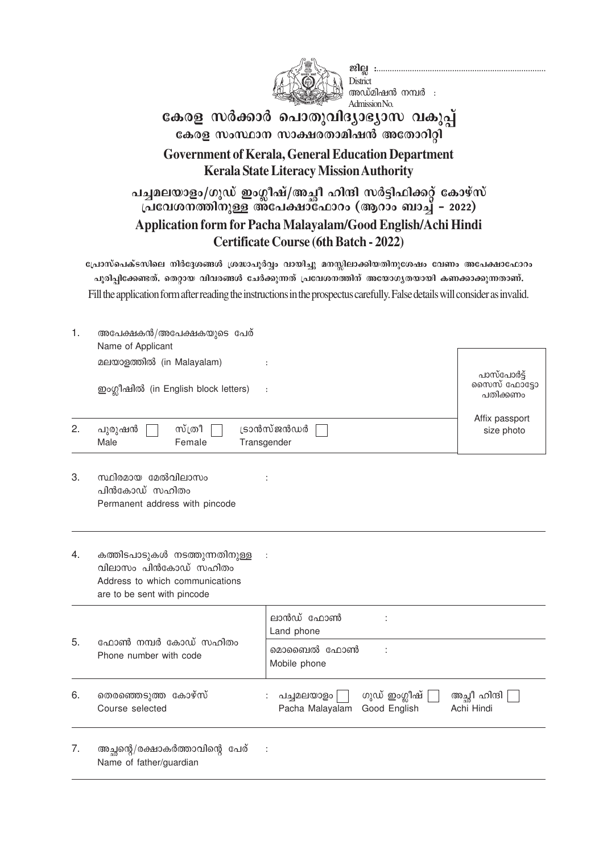

അഡ്മിഷൻ നമ്പർ  $\;$  : Admission No. **District** 

## **്കേരള സർക്കാർ പൊതുവിദ്യാഭ്യാസ** വകുപ്പ് **കേരള സംസ്ഥാന സാക്ഷരതാമിഷൻ അതോറിറ്റി Government of Kerala, General Education Department Kerala State Literacy Mission Authority**

പച്ചമലയാളം/ഗുഡ് ഇംഗ്ലീഷ്/അച്ചീ ഹിന്ദി സർട്ടിഫിക്കറ്റ് കോഴ്സ് **പ്രവേശനത്തിനുള്ള അപേക്ഷാഫോറം (ആറാം ബാച്ച് - 2022) Application form for Pacha Malayalam/Good English/Achi Hindi Certificate Course (6th Batch - 2022)**

്പോസ്പെക്ടസിലെ നിർദ്ദേശങ്ങൾ ശ്രദ്ധാപൂർവ്വം വായിച്ചു മനസ്സിലാക്കിയതിനുശേഷം വേണം അപേക്ഷാഫോറം പൂരിപ്പിക്കേണ്ടത്. തെറ്റായ വിവരങ്ങൾ ചേർക്കുന്നത് പ്രവേശനത്തിന് അയോഗൃതയായി കണക്കാക്കുന്നതാണ്. Fill the application form after reading the instructions in the prospectus carefully. False details will consider as invalid.

| 1. | അപേക്ഷകൻ/അപേക്ഷകയുടെ പേര്<br>Name of Applicant                                                                          |                                                                |                              |  |  |
|----|-------------------------------------------------------------------------------------------------------------------------|----------------------------------------------------------------|------------------------------|--|--|
|    | മലയാളത്തിൽ (in Malayalam)                                                                                               | പാസ്പോർട്ട്                                                    |                              |  |  |
|    | ഇംഗ്ലീഷിൽ (in English block letters)                                                                                    | $\colon$                                                       | സൈസ് ഫോട്ടോ<br>പതിക്കണം      |  |  |
| 2. | സ്ത്രീ<br>പുരുഷൻ<br>Male<br>Female                                                                                      | ട്രാൻസ്ജൻഡർ<br>Transgender                                     | Affix passport<br>size photo |  |  |
| 3. | സ്ഥിരമായ മേൽവിലാസം<br>പിൻകോഡ് സഹിതം<br>Permanent address with pincode                                                   |                                                                |                              |  |  |
| 4. | കത്തിടപാടുകൾ നടത്തുന്നതിനുള്ള<br>വിലാസം പിൻകോഡ് സഹിതം<br>Address to which communications<br>are to be sent with pincode |                                                                |                              |  |  |
|    |                                                                                                                         | ലാൻഡ് ഫോൺ<br>Land phone                                        |                              |  |  |
| 5. | ഫോൺ നമ്പർ കോഡ് സഹിതം<br>Phone number with code                                                                          | മൊബൈൽ ഫോൺ<br>Mobile phone                                      |                              |  |  |
| 6. | തെരഞ്ഞെടുത്ത കോഴ്സ്<br>Course selected                                                                                  | ഗുഡ് ഇംഗ്ലീഷ്<br>പച്ചമലയാളം<br>Pacha Malayalam<br>Good English | അച്ഛീ ഹിന്ദി<br>Achi Hindi   |  |  |
| 7. | അച്ഛന്റെ/രക്ഷാകർത്താവിന്റെ പേര്<br>Name of father/guardian                                                              |                                                                |                              |  |  |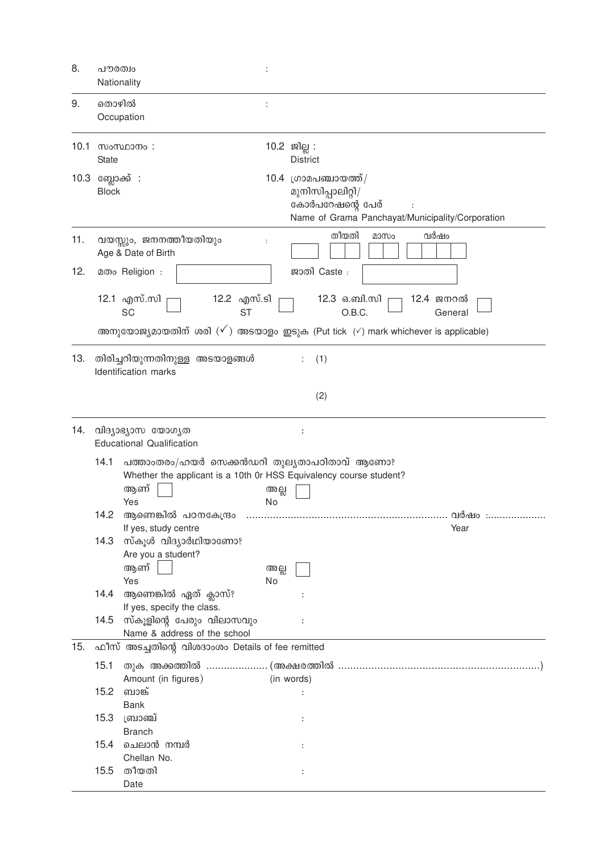| 8.   | പൗരത്വം<br>Nationality     |                                                                                                                                | $\ddot{\cdot}$ |                                                                                                                                                             |
|------|----------------------------|--------------------------------------------------------------------------------------------------------------------------------|----------------|-------------------------------------------------------------------------------------------------------------------------------------------------------------|
| 9.   | തൊഴിൽ                      | Occupation                                                                                                                     |                |                                                                                                                                                             |
| 10.1 | <b>State</b>               | സംസ്ഥാനം:                                                                                                                      |                | 10.2 ജില്ല:<br><b>District</b>                                                                                                                              |
| 10.3 | ബ്ലോക്ക് :<br><b>Block</b> |                                                                                                                                |                | $10.4$ ഗ്രാമപഞ്ചായത്ത് /<br>മുനിസിപ്പാലിറ്റി/<br>കോർപറേഷന്റെ പേര്<br>Name of Grama Panchayat/Municipality/Corporation                                       |
| 11.  |                            | വയസ്സും, ജനനത്തീയതിയും<br>Age & Date of Birth                                                                                  |                | തീയതി<br>വർഷം<br>മാസം                                                                                                                                       |
| 12.  |                            | 2000 Religion :                                                                                                                |                | ജാതി Caste:                                                                                                                                                 |
|      |                            | 12.1 എസ്.സി<br>12.2 എസ്.ടി<br>SC<br><b>ST</b>                                                                                  |                | 12.3 ഒ.ബി.സി<br>12.4 ജനറൽ<br>O.B.C.<br>General<br>അനുയോജ്യമായതിന് ശരി ( $\checkmark$ ) അടയാളം ഇടുക (Put tick ( $\checkmark$ ) mark whichever is applicable) |
| 13.  |                            | തിരിച്ചറിയുന്നതിനുള്ള അടയാളങ്ങൾ<br>Identification marks                                                                        |                | (1)                                                                                                                                                         |
|      |                            |                                                                                                                                |                | (2)                                                                                                                                                         |
| 14.  |                            | വിദ്യാഭ്യാസ യോഗൃത<br><b>Educational Qualification</b>                                                                          |                | $\ddot{\cdot}$                                                                                                                                              |
|      | 14.1                       | പത്താംതരം/ഹയർ സെക്കൻഡറി തുലൃതാപഠിതാവ് ആണോ?<br>Whether the applicant is a 10th 0r HSS Equivalency course student?<br>ആണ്<br>Yes | അല്ല<br>No     |                                                                                                                                                             |
|      | 14.2                       | ആണെങ്കിൽ പഠനകേന്ദ്രം                                                                                                           | .              | വർഷം                                                                                                                                                        |
|      | 14.3                       | If yes, study centre<br>സ്കൂൾ വിദ്യാർഥിയാണോ?<br>Are you a student?<br>ആണ്                                                      | അല്ല           | Year                                                                                                                                                        |
|      | 14.4                       | Yes<br>ആണെങ്കിൽ ഏത് ക്ലാസ്?                                                                                                    | No             |                                                                                                                                                             |
|      | 14.5                       | If yes, specify the class.<br>സ്കൂളിന്റെ പേരും വിലാസവും<br>Name & address of the school                                        |                |                                                                                                                                                             |
| 15.  |                            | ഫീസ് അടച്ചതിന്റെ വിശദാംശം Details of fee remitted                                                                              |                |                                                                                                                                                             |
|      | 15.1                       |                                                                                                                                |                |                                                                                                                                                             |
|      | 15.2                       | Amount (in figures)<br>ബാങ്ക്<br><b>Bank</b>                                                                                   |                | (in words)                                                                                                                                                  |
|      | 15.3                       | ബ്രാഞ്ച്                                                                                                                       |                |                                                                                                                                                             |
|      | 15.4                       | <b>Branch</b><br>ചെലാൻ നമ്പർ<br>Chellan No.                                                                                    |                |                                                                                                                                                             |
|      | 15.5                       | തീയതി<br>Date                                                                                                                  |                |                                                                                                                                                             |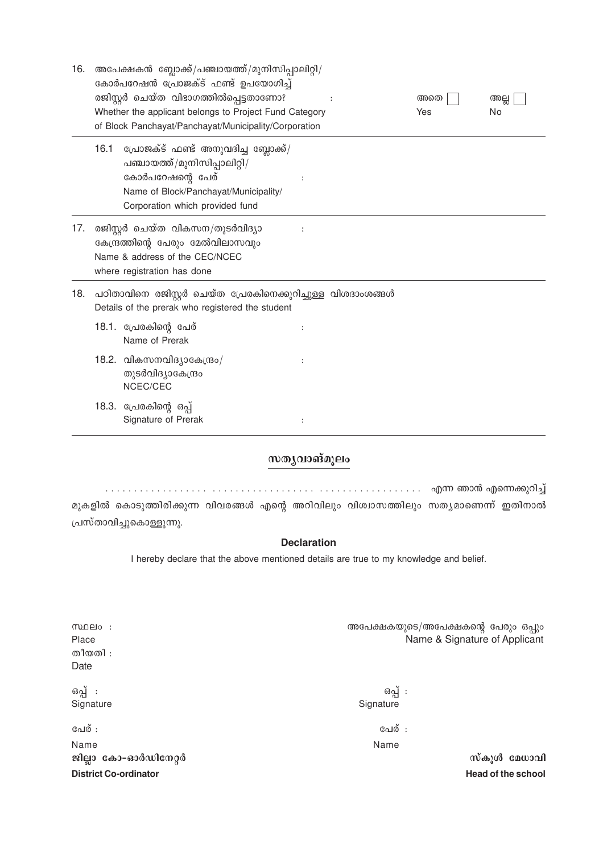| 16. |      | അപേക്ഷകൻ ബ്ലോക്ക്/പഞ്ചായത്ത്/മുനിസിപ്പാലിറ്റി/<br>കോർപറേഷൻ പ്രോജക്ട് ഫണ്ട് ഉപയോഗിച്ച്<br>രജിസ്റ്റർ ചെയ്ത വിഭാഗത്തിൽപ്പെട്ടതാണോ?<br>Whether the applicant belongs to Project Fund Category<br>of Block Panchayat/Panchayat/Municipality/Corporation |                      | അതെ<br>Yes | അല്ല<br>No |  |
|-----|------|----------------------------------------------------------------------------------------------------------------------------------------------------------------------------------------------------------------------------------------------------|----------------------|------------|------------|--|
|     | 16.1 | പ്രോജക്ട് ഫണ്ട് അനുവദിച്ച ബ്ലോക്ക്/<br>പഞ്ചായത്ത്/മുനിസിപ്പാലിറ്റി/<br>കോർപറേഷന്റെ പേര്<br>Name of Block/Panchayat/Municipality/<br>Corporation which provided fund                                                                                |                      |            |            |  |
| 17. |      | രജിസ്റ്റർ ചെയ്ത വികസന/തുടർവിദ്യാ<br>കേന്ദ്രത്തിന്റെ പേരും മേൽവിലാസവും<br>Name & address of the CEC/NCEC<br>where registration has done                                                                                                             |                      |            |            |  |
| 18. |      | പഠിതാവിനെ രജിസ്റ്റർ ചെയ്ത പ്രേരകിനെക്കുറിച്ചുള്ള വിശദാംശങ്ങൾ<br>Details of the prerak who registered the student                                                                                                                                   |                      |            |            |  |
|     |      | 18.1. പ്രേരകിന്റെ പേര്<br>Name of Prerak                                                                                                                                                                                                           | $\ddot{\phantom{a}}$ |            |            |  |
|     |      | 18.2. വികസനവിദ്യാകേന്ദ്രം/<br>തുടർവിദ്യാകേന്ദ്രം<br>NCEC/CEC                                                                                                                                                                                       |                      |            |            |  |
|     |      | 18.3. പ്രേരകിന്റെ ഒപ്പ്<br>Signature of Prerak                                                                                                                                                                                                     |                      |            |            |  |

### സതൃവാങ്മൂലം

മുകളിൽ കൊടുത്തിരിക്കുന്ന വിവരങ്ങൾ എന്റെ അറിവിലും വിശ്വാസത്തിലും സത്യമാണെന്ന് ഇതിനാൽ പ്രസ്താവിച്ചുകൊള്ളുന്നു.

#### **Declaration**

I hereby declare that the above mentioned details are true to my knowledge and belief.

| സ്ഥലം :<br>Place<br>തീയതി :<br>Date | അപേക്ഷകയുടെ/അപേക്ഷകന്റെ പേരും ഒപ്പും<br>Name & Signature of Applicant |
|-------------------------------------|-----------------------------------------------------------------------|
| ഒപ്പ് :<br>Signature                | ഒപ്പ് :<br>Signature                                                  |
| പേര് :                              | പേര് :                                                                |
| Name                                | Name                                                                  |
| ജില്ലാ കോ-ഓർഡിനേറ്റർ                | സ്കൂൾ മേധാവി                                                          |
| <b>District Co-ordinator</b>        | Head of the school                                                    |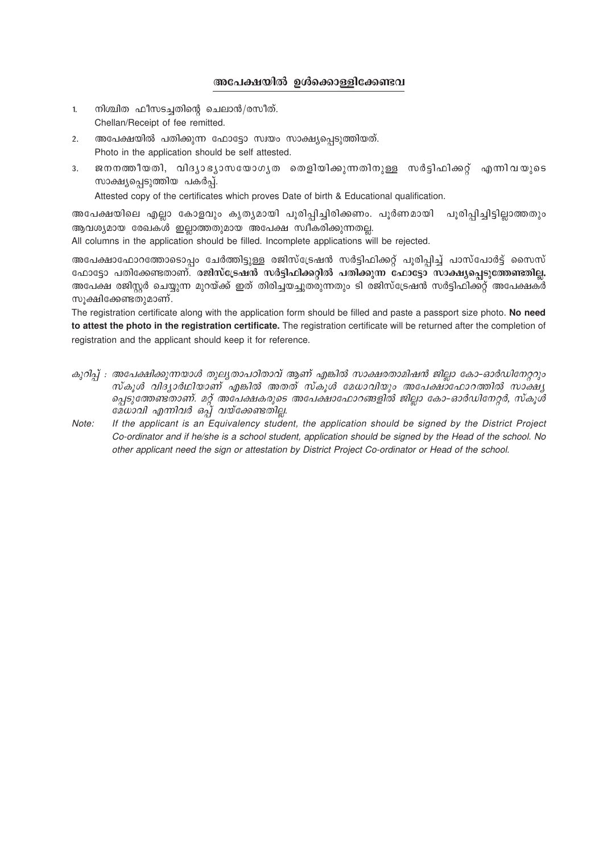#### **അപേക്ഷയിൽ ഉൾക്കൊള്ളിക്കേണ്ടവ**

- 1. നിശ്ചിത ഫീസടച്ചതിന്റെ ചെലാൻ/രസീത്. Chellan/Receipt of fee remitted.
- 2. അപേക്ഷയിൽ പതിക്കുന്ന ഫോട്ടോ സ്വയം സാക്ഷ്യപ്പെടുത്തിയത്. Photo in the application should be self attested.
- 3. ജനനത്തീയതി, വിദൃാഭൃാസയോഗൃത തെളിയിക്കുന്നതിനുള്ള സർട്ടിഫിക്കറ്റ് എന്നിവയുടെ സാക്ഷൃപ്പെടുത്തിയ പകർപ്പ്.

Attested copy of the certificates which proves Date of birth & Educational qualification.

അപേക്ഷയിലെ എല്ലാ കോളവും കൃതൃമായി പൂരിപ്പിച്ചിരിക്കണം. പൂർണമായി പൂരിപ്പിച്ചിട്ടില്ലാത്തതും ആവശ്യമായ രേഖകൾ ഇല്ലാത്തതുമായ അപേക്ഷ സ്വീകരിക്കുന്നതല്ല.

All columns in the application should be filled. Incomplete applications will be rejected.

അപേക്ഷാഫോറത്തോടൊപ്പം ചേർത്തിട്ടുള്ള രജിസ്ട്രേഷൻ സർട്ടിഫിക്കറ്റ് പൂരിപ്പിച്ച് പാസ്പോർട്ട് സൈസ് ഫോട്ടോ പതിക്കേണ്ടതാണ്. രജിസ്ട്രേഷൻ സർട്ടിഫിക്കറ്റിൽ പതിക്കുന്ന ഫോട്ടോ സാക്ഷ്യപ്പെടുത്തേണ്ടതില്ല. അപേക്ഷ രജിസ്റ്റർ ചെയ്യുന്ന മുറയ്ക്ക് ഇത് തിരിച്ചയച്ചുതരുന്നതും ടി രജിസ്ട്രേഷൻ സർട്ടിഫിക്കറ്റ് അപേക്ഷകർ സൂക്ഷിക്കേണ്ടതുമാണ്.

The registration certificate along with the application form should be filled and paste a passport size photo. **No need to attest the photo in the registration certificate.** The registration certificate will be returned after the completion of registration and the applicant should keep it for reference.

- കുറിപ് : അപേക്ഷിക്കുന്നയാൾ തുലൃതാപഠിതാവ് ആണ് എങ്കിൽ സാക്ഷരതാമിഷൻ ജില്ലാ കോ–ഓർഡിനേറ്ററും *സ്കൂൾ വിദ്യാർഥിയാണ് എങ്കിൽ അതത് സ്കൂൾ മേധാവിയും അപേക്ഷാഫോറത്തിൽ സാക്ഷ്യ* ച്ചെടുത്തേണ്ടതാണ്. മറ്റ് അപേക്ഷകരുടെ അപേക്ഷാഫോറങ്ങളിൽ ജില്ലാ കോ-ഓർഡിനേറ്റർ, സ്കൂൾ *മേധാവി എന്നിവർ ഒപ്പ് വയ്ക്കേണ്ടതില്ല.*
- *Note: If the applicant is an Equivalency student, the application should be signed by the District Project Co-ordinator and if he/she is a school student, application should be signed by the Head of the school. No other applicant need the sign or attestation by District Project Co-ordinator or Head of the school.*